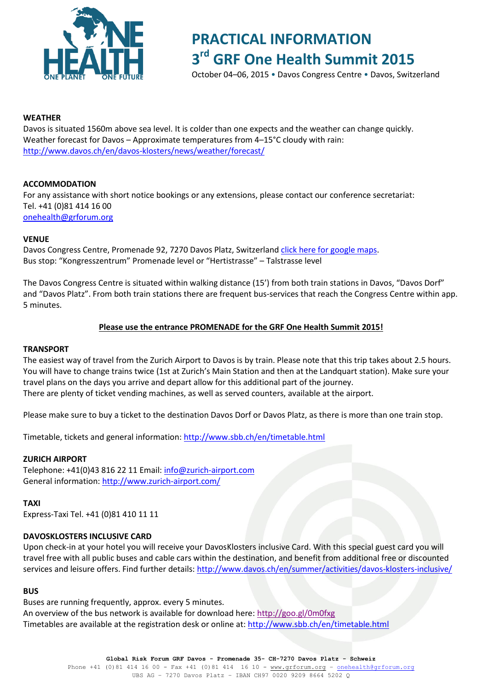

# **PRACTICAL INFORMATION 3 rd GRF One Health Summit 2015**

October 04–06, 2015 • Davos Congress Centre • Davos, Switzerland

### **WEATHER**

Davos is situated 1560m above sea level. It is colder than one expects and the weather can change quickly. Weather forecast for Davos – Approximate temperatures from 4–15°C cloudy with rain: <http://www.davos.ch/en/davos-klosters/news/weather/forecast/>

# **ACCOMMODATION**

For any assistance with short notice bookings or any extensions, please contact our conference secretariat: Tel. +41 (0)81 414 16 00 [onehealth@grforum.org](mailto:info@davoscongress.ch)

### **VENUE**

Davos Congress Centre, Promenade 92, 7270 Davos Platz, Switzerland [click here for google maps.](https://www.google.ch/maps/place/Promenade+92,+7270+Davos+Platz/@46.8008828,9.8313307,17.25z/data=!4m2!3m1!1s0x4784a6af7b5f0a63:0x516f9c2377bbe0b8) Bus stop: "Kongresszentrum" Promenade level or "Hertistrasse" – Talstrasse level

The Davos Congress Centre is situated within walking distance (15') from both train stations in Davos, "Davos Dorf" and "Davos Platz". From both train stations there are frequent bus-services that reach the Congress Centre within app. 5 minutes.

### **Please use the entrance PROMENADE for the GRF One Health Summit 2015!**

### **TRANSPORT**

The easiest way of travel from the Zurich Airport to Davos is by train. Please note that this trip takes about 2.5 hours. You will have to change trains twice (1st at Zurich's Main Station and then at the Landquart station). Make sure your travel plans on the days you arrive and depart allow for this additional part of the journey. There are plenty of ticket vending machines, as well as served counters, available at the airport.

Please make sure to buy a ticket to the destination Davos Dorf or Davos Platz, as there is more than one train stop.

Timetable, tickets and general information:<http://www.sbb.ch/en/timetable.html>

### **ZURICH AIRPORT**

Telephone: +41(0)43 816 22 11 Email: [info@zurich-airport.com](mailto:info@zurich-airport.com) General information[: http://www.zurich-airport.com/](http://www.zurich-airport.com/)

# **TAXI**

Express-Taxi Tel. +41 (0)81 410 11 11

# **DAVOSKLOSTERS INCLUSIVE CARD**

Upon check-in at your hotel you will receive your DavosKlosters inclusive Card. With this special guest card you will travel free with all public buses and cable cars within the destination, and benefit from additional free or discounted services and leisure offers. Find further details:<http://www.davos.ch/en/summer/activities/davos-klosters-inclusive/>

### **BUS**

Buses are running frequently, approx. every 5 minutes. An overview of the bus network is available for download here[: http://goo.gl/0m0fxg](http://goo.gl/0m0fxg) Timetables are available at the registration desk or online at[: http://www.sbb.ch/en/timetable.html](http://www.sbb.ch/en/timetable.html)